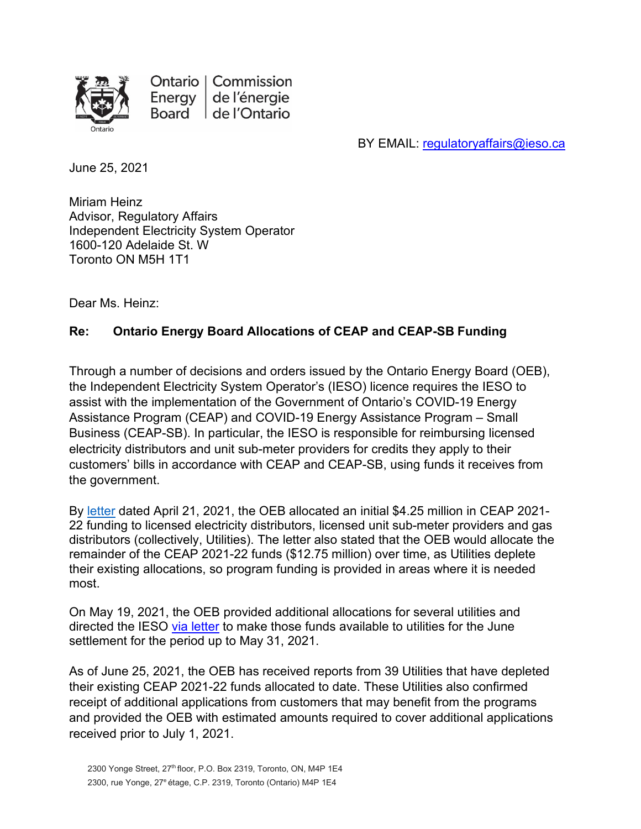

Ontario | Commission Energy de l'énergie Board de l'Ontario

BY EMAIL: [regulatoryaffairs@ieso.ca](mailto:regulatoryaffairs@ieso.ca) 

June 25, 2021

Miriam Heinz Advisor, Regulatory Affairs Independent Electricity System Operator 1600-120 Adelaide St. W Toronto ON M5H 1T1

Dear Ms. Heinz:

## **Re: Ontario Energy Board Allocations of CEAP and CEAP-SB Funding**

Through a number of decisions and orders issued by the Ontario Energy Board (OEB), the Independent Electricity System Operator's (IESO) licence requires the IESO to assist with the implementation of the Government of Ontario's COVID-19 Energy Assistance Program (CEAP) and COVID-19 Energy Assistance Program – Small Business (CEAP-SB). In particular, the IESO is responsible for reimbursing licensed electricity distributors and unit sub-meter providers for credits they apply to their customers' bills in accordance with CEAP and CEAP-SB, using funds it receives from the government.

By [letter](https://www.oeb.ca/sites/default/files/oebltr-ceap-allocations-20210421.pdf) dated April 21, 2021, the OEB allocated an initial \$4.25 million in CEAP 2021- 22 funding to licensed electricity distributors, licensed unit sub-meter providers and gas distributors (collectively, Utilities). The letter also stated that the OEB would allocate the remainder of the CEAP 2021-22 funds (\$12.75 million) over time, as Utilities deplete their existing allocations, so program funding is provided in areas where it is needed most.

On May 19, 2021, the OEB provided additional allocations for several utilities and directed the IESO [via letter](https://www.oeb.ca/sites/default/files/OEBltr-IESO-CEAP-Funding-20210519.pdf) to make those funds available to utilities for the June settlement for the period up to May 31, 2021.

As of June 25, 2021, the OEB has received reports from 39 Utilities that have depleted their existing CEAP 2021-22 funds allocated to date. These Utilities also confirmed receipt of additional applications from customers that may benefit from the programs and provided the OEB with estimated amounts required to cover additional applications received prior to July 1, 2021.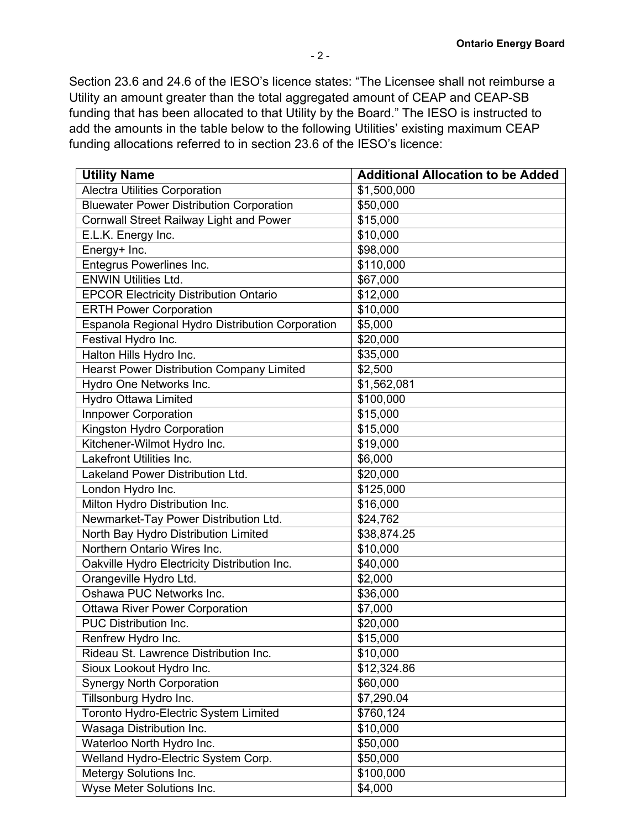Section 23.6 and 24.6 of the IESO's licence states: "The Licensee shall not reimburse a Utility an amount greater than the total aggregated amount of CEAP and CEAP-SB funding that has been allocated to that Utility by the Board." The IESO is instructed to add the amounts in the table below to the following Utilities' existing maximum CEAP funding allocations referred to in section 23.6 of the IESO's licence:

| <b>Utility Name</b>                              | <b>Additional Allocation to be Added</b> |
|--------------------------------------------------|------------------------------------------|
| <b>Alectra Utilities Corporation</b>             | \$1,500,000                              |
| <b>Bluewater Power Distribution Corporation</b>  | \$50,000                                 |
| <b>Cornwall Street Railway Light and Power</b>   | \$15,000                                 |
| E.L.K. Energy Inc.                               | \$10,000                                 |
| Energy+ Inc.                                     | \$98,000                                 |
| Entegrus Powerlines Inc.                         | \$110,000                                |
| <b>ENWIN Utilities Ltd.</b>                      | \$67,000                                 |
| <b>EPCOR Electricity Distribution Ontario</b>    | \$12,000                                 |
| <b>ERTH Power Corporation</b>                    | \$10,000                                 |
| Espanola Regional Hydro Distribution Corporation | \$5,000                                  |
| Festival Hydro Inc.                              | \$20,000                                 |
| Halton Hills Hydro Inc.                          | \$35,000                                 |
| <b>Hearst Power Distribution Company Limited</b> | \$2,500                                  |
| Hydro One Networks Inc.                          | \$1,562,081                              |
| Hydro Ottawa Limited                             | \$100,000                                |
| <b>Innpower Corporation</b>                      | \$15,000                                 |
| Kingston Hydro Corporation                       | \$15,000                                 |
| Kitchener-Wilmot Hydro Inc.                      | \$19,000                                 |
| <b>Lakefront Utilities Inc.</b>                  | \$6,000                                  |
| Lakeland Power Distribution Ltd.                 | \$20,000                                 |
| London Hydro Inc.                                | \$125,000                                |
| Milton Hydro Distribution Inc.                   | \$16,000                                 |
| Newmarket-Tay Power Distribution Ltd.            | \$24,762                                 |
| North Bay Hydro Distribution Limited             | \$38,874.25                              |
| Northern Ontario Wires Inc.                      | \$10,000                                 |
| Oakville Hydro Electricity Distribution Inc.     | \$40,000                                 |
| Orangeville Hydro Ltd.                           | \$2,000                                  |
| Oshawa PUC Networks Inc.                         | \$36,000                                 |
| <b>Ottawa River Power Corporation</b>            | \$7,000                                  |
| <b>PUC Distribution Inc.</b>                     | \$20,000                                 |
| Renfrew Hydro Inc.                               | \$15,000                                 |
| Rideau St. Lawrence Distribution Inc.            | \$10,000                                 |
| Sioux Lookout Hydro Inc.                         | \$12,324.86                              |
| <b>Synergy North Corporation</b>                 | \$60,000                                 |
| Tillsonburg Hydro Inc.                           | \$7,290.04                               |
| Toronto Hydro-Electric System Limited            | \$760,124                                |
| Wasaga Distribution Inc.                         | \$10,000                                 |
| Waterloo North Hydro Inc.                        | \$50,000                                 |
| Welland Hydro-Electric System Corp.              | \$50,000                                 |
| Metergy Solutions Inc.                           | \$100,000                                |
| Wyse Meter Solutions Inc.                        | \$4,000                                  |